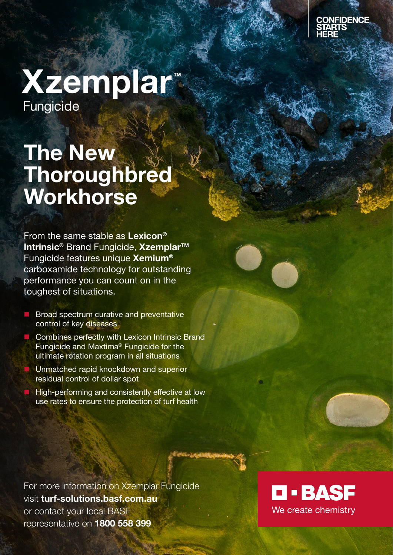

## Xzemplar™ Fungicide ®

# The New **Thoroughbred** Workhorse

From the same stable as Lexicon® Intrinsic<sup>®</sup> Brand Fungicide, Xzemplar<sup>™</sup> Fungicide features unique Xemium® carboxamide technology for outstanding performance you can count on in the toughest of situations.

- $\blacksquare$  Broad spectrum curative and preventative control of key diseases
- **n** Combines perfectly with Lexicon Intrinsic Brand Fungicide and Maxtima® Fungicide for the ultimate rotation program in all situations
- Unmatched rapid knockdown and superior residual control of dollar spot
- High-performing and consistently effective at low use rates to ensure the protection of turf health

For more information on Xzemplar Fungicide visit turf-solutions.basf.com.au or contact your local BASF representative on 1800 558 399